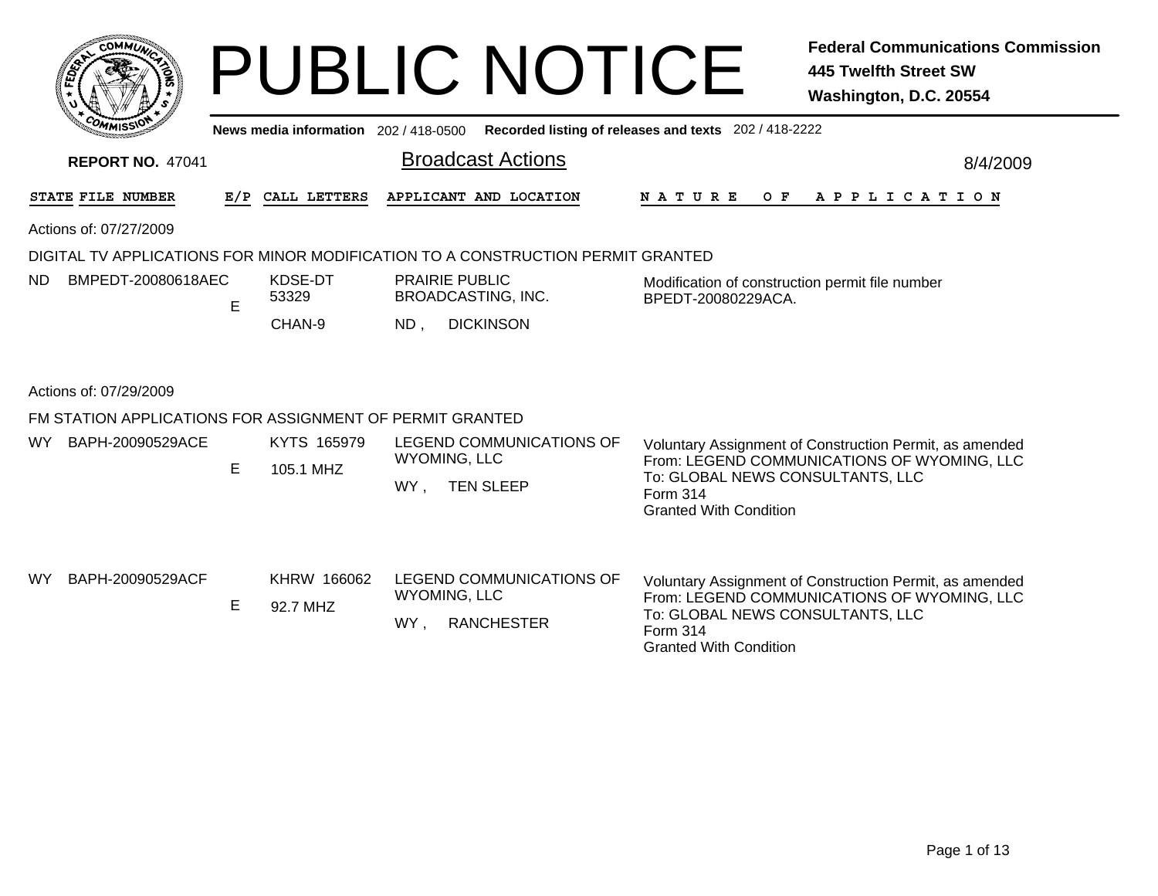|                                                          |    |                                       | <b>PUBLIC NOTICE</b>                                                            | <b>Federal Communications Commission</b><br>445 Twelfth Street SW<br>Washington, D.C. 20554                                                                                             |  |  |  |
|----------------------------------------------------------|----|---------------------------------------|---------------------------------------------------------------------------------|-----------------------------------------------------------------------------------------------------------------------------------------------------------------------------------------|--|--|--|
|                                                          |    | News media information 202 / 418-0500 |                                                                                 | Recorded listing of releases and texts 202 / 418-2222                                                                                                                                   |  |  |  |
| <b>REPORT NO. 47041</b>                                  |    |                                       | <b>Broadcast Actions</b>                                                        | 8/4/2009                                                                                                                                                                                |  |  |  |
| STATE FILE NUMBER                                        |    | E/P CALL LETTERS                      | APPLICANT AND LOCATION                                                          | N A T U R E<br>OF APPLICATION                                                                                                                                                           |  |  |  |
| Actions of: 07/27/2009                                   |    |                                       |                                                                                 |                                                                                                                                                                                         |  |  |  |
|                                                          |    |                                       | DIGITAL TV APPLICATIONS FOR MINOR MODIFICATION TO A CONSTRUCTION PERMIT GRANTED |                                                                                                                                                                                         |  |  |  |
| BMPEDT-20080618AEC<br>ND.                                | E  | KDSE-DT<br>53329                      | <b>PRAIRIE PUBLIC</b><br><b>BROADCASTING, INC.</b>                              | Modification of construction permit file number<br>BPEDT-20080229ACA.                                                                                                                   |  |  |  |
|                                                          |    | CHAN-9                                | <b>DICKINSON</b><br>ND,                                                         |                                                                                                                                                                                         |  |  |  |
| Actions of: 07/29/2009                                   |    |                                       |                                                                                 |                                                                                                                                                                                         |  |  |  |
| FM STATION APPLICATIONS FOR ASSIGNMENT OF PERMIT GRANTED |    |                                       |                                                                                 |                                                                                                                                                                                         |  |  |  |
| BAPH-20090529ACE<br>WY.                                  | E. | KYTS 165979<br>105.1 MHZ              | LEGEND COMMUNICATIONS OF<br><b>WYOMING, LLC</b><br><b>TEN SLEEP</b><br>WY,      | Voluntary Assignment of Construction Permit, as amended<br>From: LEGEND COMMUNICATIONS OF WYOMING, LLC<br>To: GLOBAL NEWS CONSULTANTS, LLC<br>Form 314<br><b>Granted With Condition</b> |  |  |  |
| <b>WY</b><br>BAPH-20090529ACF                            | E  | KHRW 166062<br>92.7 MHZ               | LEGEND COMMUNICATIONS OF<br><b>WYOMING, LLC</b><br>WY,<br><b>RANCHESTER</b>     | Voluntary Assignment of Construction Permit, as amended<br>From: LEGEND COMMUNICATIONS OF WYOMING, LLC<br>To: GLOBAL NEWS CONSULTANTS, LLC<br>Form 314<br><b>Granted With Condition</b> |  |  |  |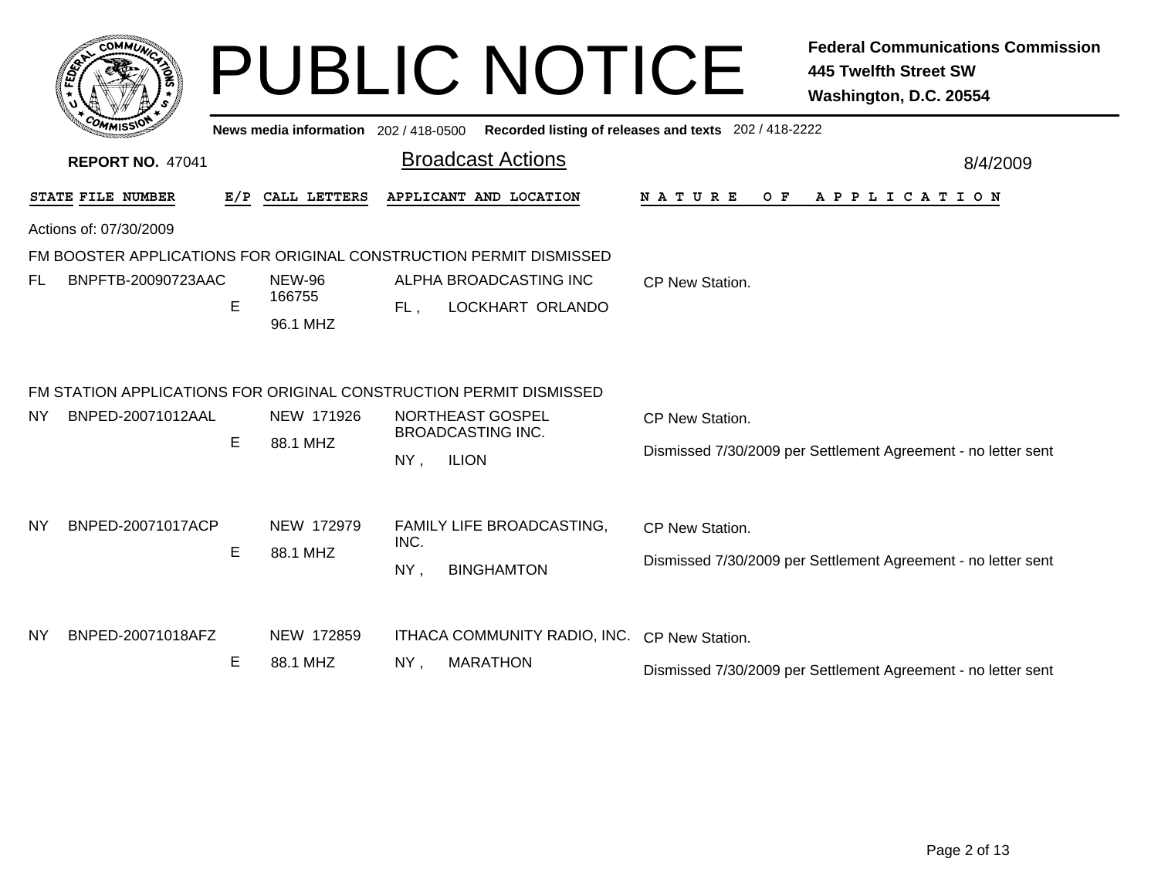|           | <b>COMMUT</b>           |               |                                       |        | <b>PUBLIC NOTICE</b>                                               |                                                       | <b>Federal Communications Commission</b><br><b>445 Twelfth Street SW</b><br>Washington, D.C. 20554 |
|-----------|-------------------------|---------------|---------------------------------------|--------|--------------------------------------------------------------------|-------------------------------------------------------|----------------------------------------------------------------------------------------------------|
|           |                         |               | News media information 202 / 418-0500 |        |                                                                    | Recorded listing of releases and texts 202 / 418-2222 |                                                                                                    |
|           | <b>REPORT NO. 47041</b> |               |                                       |        | <b>Broadcast Actions</b>                                           |                                                       | 8/4/2009                                                                                           |
|           | STATE FILE NUMBER       | E/P           | CALL LETTERS                          |        | APPLICANT AND LOCATION                                             | <b>NATURE</b><br>O F                                  | A P P L I C A T I O N                                                                              |
|           | Actions of: 07/30/2009  |               |                                       |        |                                                                    |                                                       |                                                                                                    |
|           |                         |               |                                       |        | FM BOOSTER APPLICATIONS FOR ORIGINAL CONSTRUCTION PERMIT DISMISSED |                                                       |                                                                                                    |
| FL        | BNPFTB-20090723AAC      | E             | <b>NEW-96</b><br>166755<br>96.1 MHZ   | FL,    | ALPHA BROADCASTING INC<br>LOCKHART ORLANDO                         | <b>CP New Station.</b>                                |                                                                                                    |
|           |                         |               |                                       |        | FM STATION APPLICATIONS FOR ORIGINAL CONSTRUCTION PERMIT DISMISSED |                                                       |                                                                                                    |
| NY        | BNPED-20071012AAL       |               | NEW 171926                            |        | NORTHEAST GOSPEL                                                   | CP New Station.                                       |                                                                                                    |
|           |                         | E             | 88.1 MHZ                              | $NY$ , | <b>BROADCASTING INC.</b><br><b>ILION</b>                           |                                                       | Dismissed 7/30/2009 per Settlement Agreement - no letter sent                                      |
| <b>NY</b> | BNPED-20071017ACP       | E<br>88.1 MHZ | NEW 172979                            | INC.   | FAMILY LIFE BROADCASTING,                                          | CP New Station.                                       |                                                                                                    |
|           |                         |               |                                       | NY,    | <b>BINGHAMTON</b>                                                  |                                                       | Dismissed 7/30/2009 per Settlement Agreement - no letter sent                                      |
| <b>NY</b> | BNPED-20071018AFZ       |               | NEW 172859                            |        | ITHACA COMMUNITY RADIO, INC.                                       | CP New Station.                                       |                                                                                                    |
|           |                         | E             | 88.1 MHZ                              | $NY$ , | <b>MARATHON</b>                                                    |                                                       | Dismissed 7/30/2009 per Settlement Agreement - no letter sent                                      |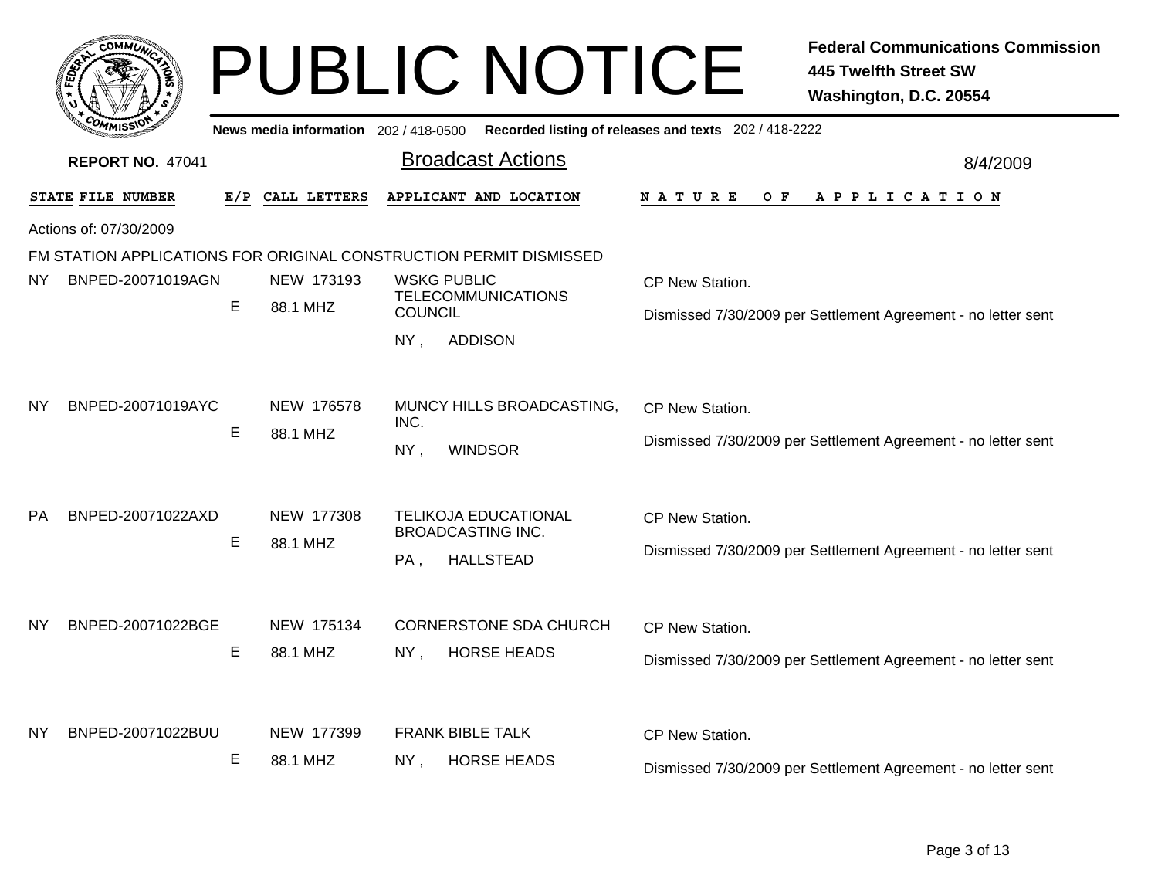|           |                         |     |                                       | <b>PUBLIC NOTICE</b>                                                               | <b>Federal Communications Commission</b><br><b>445 Twelfth Street SW</b><br>Washington, D.C. 20554 |
|-----------|-------------------------|-----|---------------------------------------|------------------------------------------------------------------------------------|----------------------------------------------------------------------------------------------------|
|           |                         |     | News media information 202 / 418-0500 |                                                                                    | Recorded listing of releases and texts 202 / 418-2222                                              |
|           | <b>REPORT NO. 47041</b> |     |                                       | <b>Broadcast Actions</b>                                                           | 8/4/2009                                                                                           |
|           | STATE FILE NUMBER       | E/P | CALL LETTERS                          | APPLICANT AND LOCATION                                                             | <b>NATURE</b><br>O F<br>A P P L I C A T I O N                                                      |
|           | Actions of: 07/30/2009  |     |                                       |                                                                                    |                                                                                                    |
|           |                         |     |                                       | FM STATION APPLICATIONS FOR ORIGINAL CONSTRUCTION PERMIT DISMISSED                 |                                                                                                    |
| NY.       | BNPED-20071019AGN       |     | NEW 173193                            | <b>WSKG PUBLIC</b>                                                                 | CP New Station.                                                                                    |
|           |                         | E   | 88.1 MHZ                              | <b>TELECOMMUNICATIONS</b><br><b>COUNCIL</b>                                        | Dismissed 7/30/2009 per Settlement Agreement - no letter sent                                      |
|           |                         |     |                                       | $NY$ ,<br><b>ADDISON</b>                                                           |                                                                                                    |
| <b>NY</b> | BNPED-20071019AYC       | Е   | NEW 176578<br>88.1 MHZ                | MUNCY HILLS BROADCASTING,<br>INC.<br>NY,<br><b>WINDSOR</b>                         | CP New Station.<br>Dismissed 7/30/2009 per Settlement Agreement - no letter sent                   |
| <b>PA</b> | BNPED-20071022AXD       | Е   | NEW 177308<br>88.1 MHZ                | <b>TELIKOJA EDUCATIONAL</b><br><b>BROADCASTING INC.</b><br><b>HALLSTEAD</b><br>PA, | CP New Station.<br>Dismissed 7/30/2009 per Settlement Agreement - no letter sent                   |
| NY.       | BNPED-20071022BGE       | Е   | NEW 175134<br>88.1 MHZ                | <b>CORNERSTONE SDA CHURCH</b><br><b>HORSE HEADS</b><br>NY,                         | CP New Station.<br>Dismissed 7/30/2009 per Settlement Agreement - no letter sent                   |
| NY        | BNPED-20071022BUU       | Е   | NEW 177399<br>88.1 MHZ                | <b>FRANK BIBLE TALK</b><br><b>HORSE HEADS</b><br>$NY$ ,                            | CP New Station.<br>Dismissed 7/30/2009 per Settlement Agreement - no letter sent                   |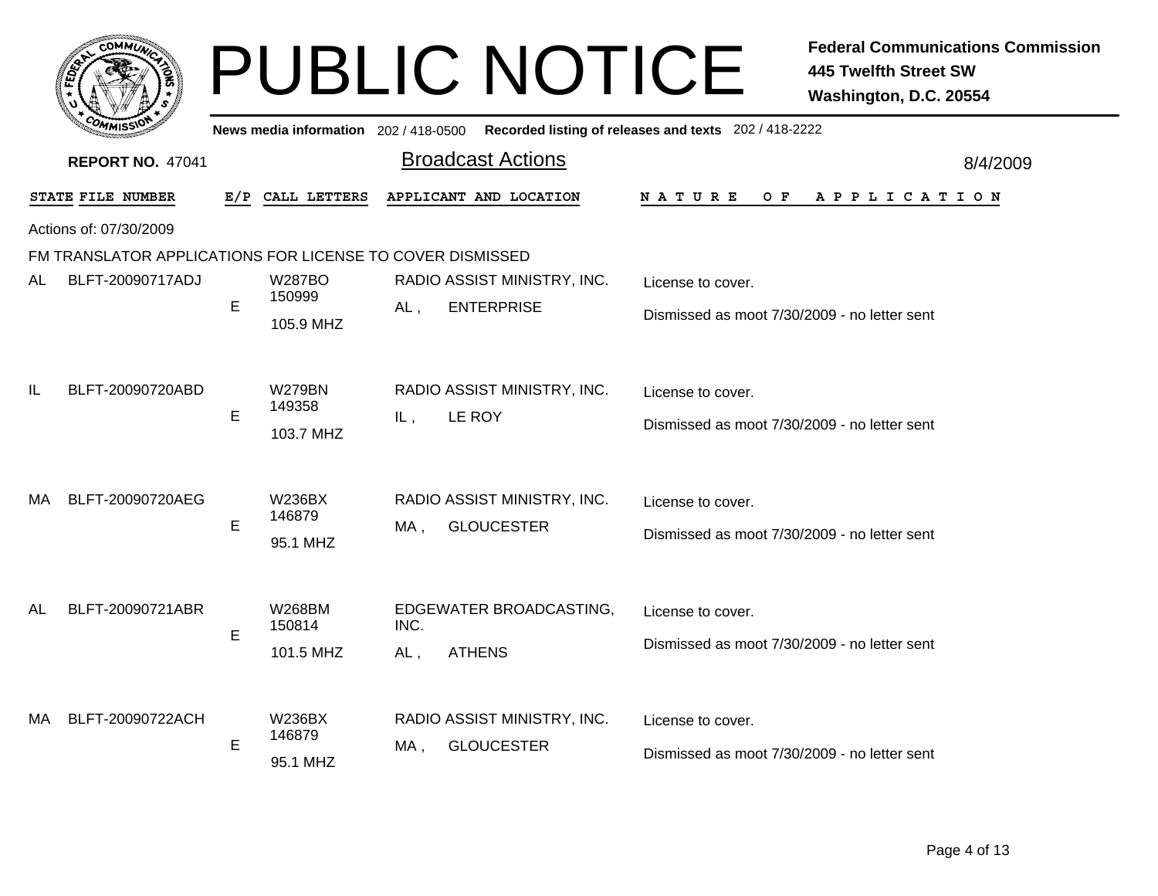|     | <b>COMMU</b>            |   |                                     | <b>PUBLIC NOTICE</b>                                      | <b>Federal Communications Commission</b><br><b>445 Twelfth Street SW</b><br>Washington, D.C. 20554 |
|-----|-------------------------|---|-------------------------------------|-----------------------------------------------------------|----------------------------------------------------------------------------------------------------|
|     |                         |   | News media information 202/418-0500 |                                                           | Recorded listing of releases and texts 202 / 418-2222                                              |
|     | <b>REPORT NO. 47041</b> |   |                                     | <b>Broadcast Actions</b>                                  | 8/4/2009                                                                                           |
|     | STATE FILE NUMBER       |   | E/P CALL LETTERS                    | APPLICANT AND LOCATION                                    | N A T U R E<br>O F<br>A P P L I C A T I O N                                                        |
|     | Actions of: 07/30/2009  |   |                                     |                                                           |                                                                                                    |
|     |                         |   |                                     | FM TRANSLATOR APPLICATIONS FOR LICENSE TO COVER DISMISSED |                                                                                                    |
| AL  | BLFT-20090717ADJ        | E | <b>W287BO</b><br>150999             | RADIO ASSIST MINISTRY, INC.<br><b>ENTERPRISE</b>          | License to cover.                                                                                  |
|     |                         |   | 105.9 MHZ                           | $AL$ ,                                                    | Dismissed as moot 7/30/2009 - no letter sent                                                       |
| IL  | BLFT-20090720ABD        |   | <b>W279BN</b><br>149358             | RADIO ASSIST MINISTRY, INC.                               | License to cover.                                                                                  |
|     |                         | E | 103.7 MHZ                           | IL,<br>LE ROY                                             | Dismissed as moot 7/30/2009 - no letter sent                                                       |
| MA. | BLFT-20090720AEG        |   | <b>W236BX</b>                       | RADIO ASSIST MINISTRY, INC.<br><b>GLOUCESTER</b><br>MA,   | License to cover.                                                                                  |
|     |                         | E | 146879<br>95.1 MHZ                  |                                                           | Dismissed as moot 7/30/2009 - no letter sent                                                       |
|     | BLFT-20090721ABR        |   |                                     |                                                           |                                                                                                    |
| AL  |                         | E | W268BM<br>150814                    | EDGEWATER BROADCASTING,<br>INC.                           | License to cover.                                                                                  |
|     |                         |   | 101.5 MHZ                           | <b>ATHENS</b><br>$AL$ ,                                   | Dismissed as moot 7/30/2009 - no letter sent                                                       |
| MA. | BLFT-20090722ACH        |   | W236BX                              | RADIO ASSIST MINISTRY, INC.                               | License to cover.                                                                                  |
|     |                         | E | 146879                              | <b>GLOUCESTER</b><br>MA .                                 | Dismissed as moot 7/30/2009 - no letter sent                                                       |
|     |                         |   | 95.1 MHZ                            |                                                           |                                                                                                    |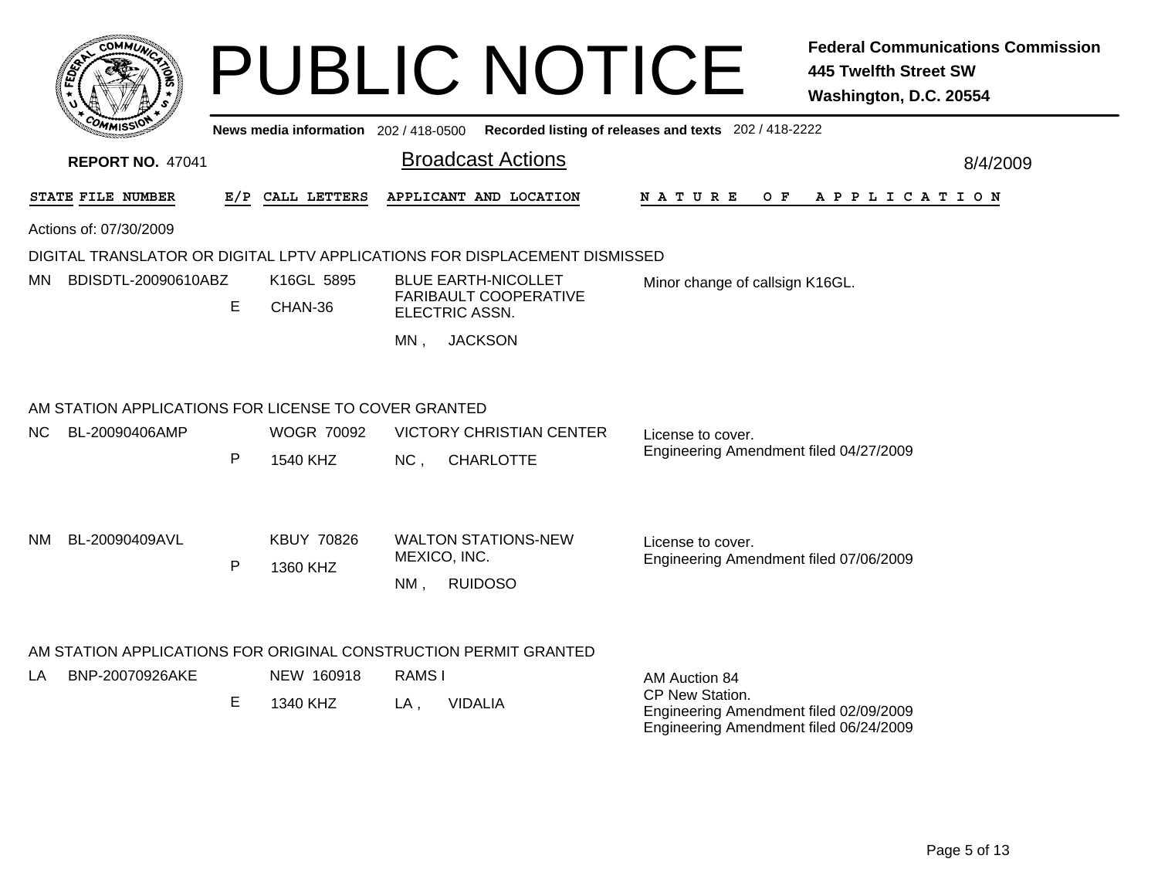| <b>COMMIT</b>                                            |   |                                     | <b>PUBLIC NOTICE</b>                                                       |                                                                                                     | <b>Federal Communications Commission</b><br><b>445 Twelfth Street SW</b><br>Washington, D.C. 20554 |  |  |
|----------------------------------------------------------|---|-------------------------------------|----------------------------------------------------------------------------|-----------------------------------------------------------------------------------------------------|----------------------------------------------------------------------------------------------------|--|--|
|                                                          |   | News media information 202/418-0500 |                                                                            | Recorded listing of releases and texts 202 / 418-2222                                               |                                                                                                    |  |  |
| <b>REPORT NO. 47041</b>                                  |   |                                     | <b>Broadcast Actions</b>                                                   |                                                                                                     | 8/4/2009                                                                                           |  |  |
| STATE FILE NUMBER                                        |   | E/P CALL LETTERS                    | APPLICANT AND LOCATION                                                     | N A T U R E<br>O F                                                                                  | A P P L I C A T I O N                                                                              |  |  |
| Actions of: 07/30/2009                                   |   |                                     |                                                                            |                                                                                                     |                                                                                                    |  |  |
|                                                          |   |                                     | DIGITAL TRANSLATOR OR DIGITAL LPTV APPLICATIONS FOR DISPLACEMENT DISMISSED |                                                                                                     |                                                                                                    |  |  |
| K16GL 5895<br>BDISDTL-20090610ABZ<br>MN.<br>E<br>CHAN-36 |   |                                     | <b>BLUE EARTH-NICOLLET</b><br>FARIBAULT COOPERATIVE<br>ELECTRIC ASSN.      | Minor change of callsign K16GL.                                                                     |                                                                                                    |  |  |
|                                                          |   |                                     | <b>JACKSON</b><br>MN.                                                      |                                                                                                     |                                                                                                    |  |  |
| AM STATION APPLICATIONS FOR LICENSE TO COVER GRANTED     |   |                                     |                                                                            |                                                                                                     |                                                                                                    |  |  |
| NC.<br>BL-20090406AMP                                    |   | <b>WOGR 70092</b>                   | <b>VICTORY CHRISTIAN CENTER</b>                                            | License to cover.                                                                                   |                                                                                                    |  |  |
|                                                          | P | 1540 KHZ                            | NC,<br><b>CHARLOTTE</b>                                                    | Engineering Amendment filed 04/27/2009                                                              |                                                                                                    |  |  |
|                                                          |   |                                     |                                                                            |                                                                                                     |                                                                                                    |  |  |
| BL-20090409AVL<br>NM.                                    |   | <b>KBUY 70826</b>                   | <b>WALTON STATIONS-NEW</b>                                                 | License to cover.                                                                                   |                                                                                                    |  |  |
|                                                          | P | 1360 KHZ                            | MEXICO, INC.                                                               | Engineering Amendment filed 07/06/2009                                                              |                                                                                                    |  |  |
|                                                          |   |                                     | <b>RUIDOSO</b><br>NM,                                                      |                                                                                                     |                                                                                                    |  |  |
|                                                          |   |                                     | AM STATION APPLICATIONS FOR ORIGINAL CONSTRUCTION PERMIT GRANTED           |                                                                                                     |                                                                                                    |  |  |
| BNP-20070926AKE<br>LA.                                   |   | NEW 160918                          | RAMS I                                                                     | AM Auction 84                                                                                       |                                                                                                    |  |  |
|                                                          | Е | 1340 KHZ                            | <b>VIDALIA</b><br>LA,                                                      | CP New Station.<br>Engineering Amendment filed 02/09/2009<br>Engineering Amendment filed 06/24/2009 |                                                                                                    |  |  |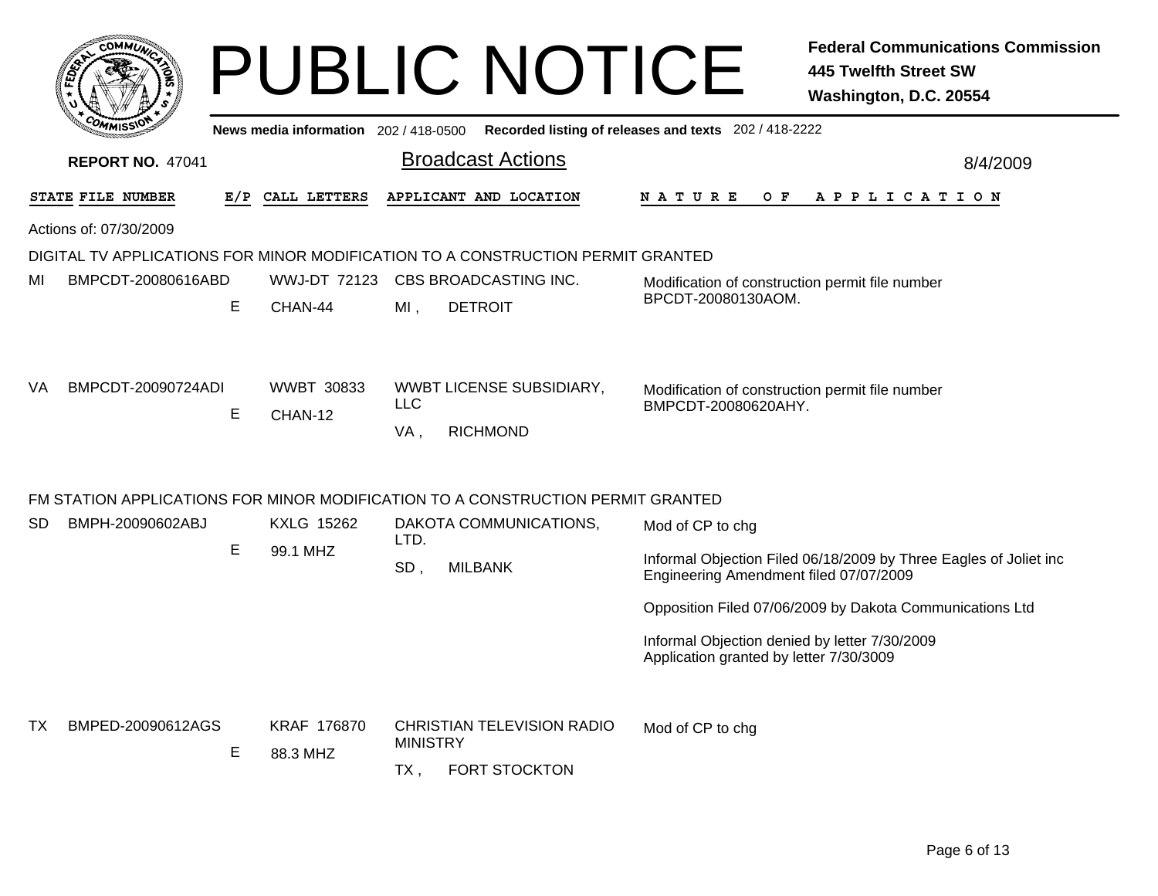|     | <b>COMMUN</b>           |     |                                       |                        | <b>PUBLIC NOTICE</b>                                                            |                                                                                          | <b>Federal Communications Commission</b><br><b>445 Twelfth Street SW</b><br>Washington, D.C. 20554 |
|-----|-------------------------|-----|---------------------------------------|------------------------|---------------------------------------------------------------------------------|------------------------------------------------------------------------------------------|----------------------------------------------------------------------------------------------------|
|     |                         |     | News media information 202 / 418-0500 |                        |                                                                                 | Recorded listing of releases and texts 202 / 418-2222                                    |                                                                                                    |
|     | <b>REPORT NO. 47041</b> |     |                                       |                        | <b>Broadcast Actions</b>                                                        |                                                                                          | 8/4/2009                                                                                           |
|     | STATE FILE NUMBER       | E/P | CALL LETTERS                          |                        | APPLICANT AND LOCATION                                                          | N A T U R E<br>O F                                                                       | A P P L I C A T I O N                                                                              |
|     | Actions of: 07/30/2009  |     |                                       |                        |                                                                                 |                                                                                          |                                                                                                    |
|     |                         |     |                                       |                        | DIGITAL TV APPLICATIONS FOR MINOR MODIFICATION TO A CONSTRUCTION PERMIT GRANTED |                                                                                          |                                                                                                    |
| ΜI  | BMPCDT-20080616ABD      | Е   | WWJ-DT 72123<br>CHAN-44               | $MI$ ,                 | CBS BROADCASTING INC.<br><b>DETROIT</b>                                         | Modification of construction permit file number<br>BPCDT-20080130AOM.                    |                                                                                                    |
| VA. | BMPCDT-20090724ADI      | E   | <b>WWBT 30833</b><br>CHAN-12          | <b>LLC</b><br>VA,      | WWBT LICENSE SUBSIDIARY,<br><b>RICHMOND</b>                                     | Modification of construction permit file number<br>BMPCDT-20080620AHY.                   |                                                                                                    |
|     |                         |     |                                       |                        | FM STATION APPLICATIONS FOR MINOR MODIFICATION TO A CONSTRUCTION PERMIT GRANTED |                                                                                          |                                                                                                    |
| SD. | BMPH-20090602ABJ        |     | <b>KXLG 15262</b>                     |                        | DAKOTA COMMUNICATIONS,                                                          | Mod of CP to chg                                                                         |                                                                                                    |
|     |                         | Е   | 99.1 MHZ                              | LTD.<br>SD,            | <b>MILBANK</b>                                                                  | Engineering Amendment filed 07/07/2009                                                   | Informal Objection Filed 06/18/2009 by Three Eagles of Joliet inc                                  |
|     |                         |     |                                       |                        |                                                                                 |                                                                                          | Opposition Filed 07/06/2009 by Dakota Communications Ltd                                           |
|     |                         |     |                                       |                        |                                                                                 | Informal Objection denied by letter 7/30/2009<br>Application granted by letter 7/30/3009 |                                                                                                    |
| TX. | BMPED-20090612AGS       | E   | KRAF 176870<br>88.3 MHZ               | <b>MINISTRY</b><br>TX, | <b>CHRISTIAN TELEVISION RADIO</b><br><b>FORT STOCKTON</b>                       | Mod of CP to chg                                                                         |                                                                                                    |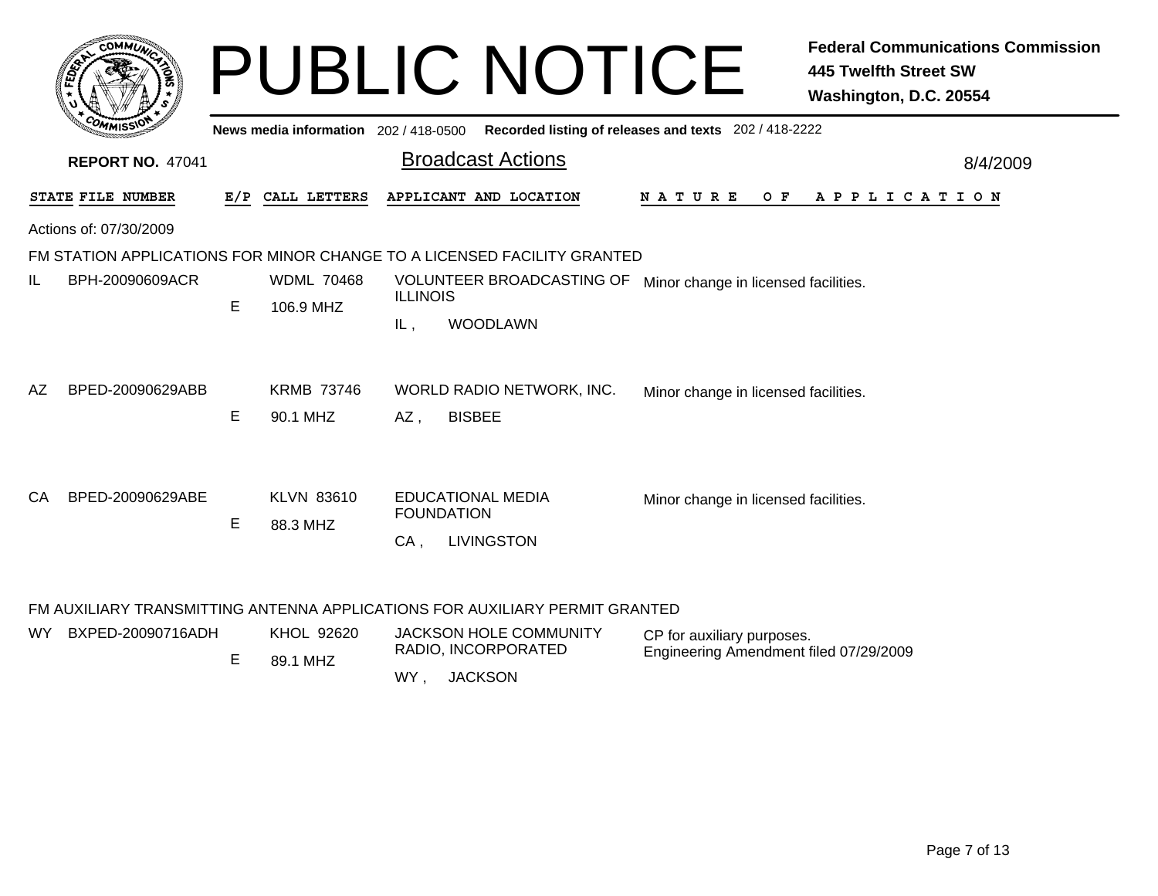|     | <b>COMMUT</b>           |   |                                     |                   | <b>PUBLIC NOTICE</b>                                                        |                                                       | <b>Federal Communications Commission</b><br><b>445 Twelfth Street SW</b><br>Washington, D.C. 20554 |
|-----|-------------------------|---|-------------------------------------|-------------------|-----------------------------------------------------------------------------|-------------------------------------------------------|----------------------------------------------------------------------------------------------------|
|     |                         |   | News media information 202/418-0500 |                   |                                                                             | Recorded listing of releases and texts 202 / 418-2222 |                                                                                                    |
|     | <b>REPORT NO. 47041</b> |   |                                     |                   | <b>Broadcast Actions</b>                                                    |                                                       | 8/4/2009                                                                                           |
|     | STATE FILE NUMBER       |   | E/P CALL LETTERS                    |                   | APPLICANT AND LOCATION                                                      | N A T U R E<br>O F                                    | A P P L I C A T I O N                                                                              |
|     | Actions of: 07/30/2009  |   |                                     |                   |                                                                             |                                                       |                                                                                                    |
|     |                         |   |                                     |                   | FM STATION APPLICATIONS FOR MINOR CHANGE TO A LICENSED FACILITY GRANTED     |                                                       |                                                                                                    |
| IL  | BPH-20090609ACR         | E | <b>WDML 70468</b><br>106.9 MHZ      | <b>ILLINOIS</b>   | VOLUNTEER BROADCASTING OF<br>Minor change in licensed facilities.           |                                                       |                                                                                                    |
|     |                         |   |                                     | IL,               | <b>WOODLAWN</b>                                                             |                                                       |                                                                                                    |
| AZ. | BPED-20090629ABB        |   | <b>KRMB 73746</b>                   |                   | WORLD RADIO NETWORK, INC.                                                   | Minor change in licensed facilities.                  |                                                                                                    |
|     |                         | E | 90.1 MHZ                            | AZ,               | <b>BISBEE</b>                                                               |                                                       |                                                                                                    |
|     |                         |   |                                     |                   |                                                                             |                                                       |                                                                                                    |
| CA  | BPED-20090629ABE        | Е | <b>KLVN 83610</b><br>88.3 MHZ       | <b>FOUNDATION</b> | <b>EDUCATIONAL MEDIA</b>                                                    | Minor change in licensed facilities.                  |                                                                                                    |
|     |                         |   |                                     | CA,               | <b>LIVINGSTON</b>                                                           |                                                       |                                                                                                    |
|     |                         |   |                                     |                   | FM AUXILIARY TRANSMITTING ANTENNA APPLICATIONS FOR AUXILIARY PERMIT GRANTED |                                                       |                                                                                                    |
|     | WY BXPED-20090716ADH    |   | KHOL 92620                          |                   | JACKSON HOLE COMMUNITY                                                      | CP for auxiliary purposes                             |                                                                                                    |

| WY l | BXPED-20090716ADH | KHOL 92620<br>89.1 MHZ | JACKSON HOLE COMMUNITY<br>RADIO, INCORPORATED | CP for auxiliary purposes.<br>Engineering Amendment filed 07/29/2009 |
|------|-------------------|------------------------|-----------------------------------------------|----------------------------------------------------------------------|
|      |                   |                        | <b>JACKSON</b><br>WY                          |                                                                      |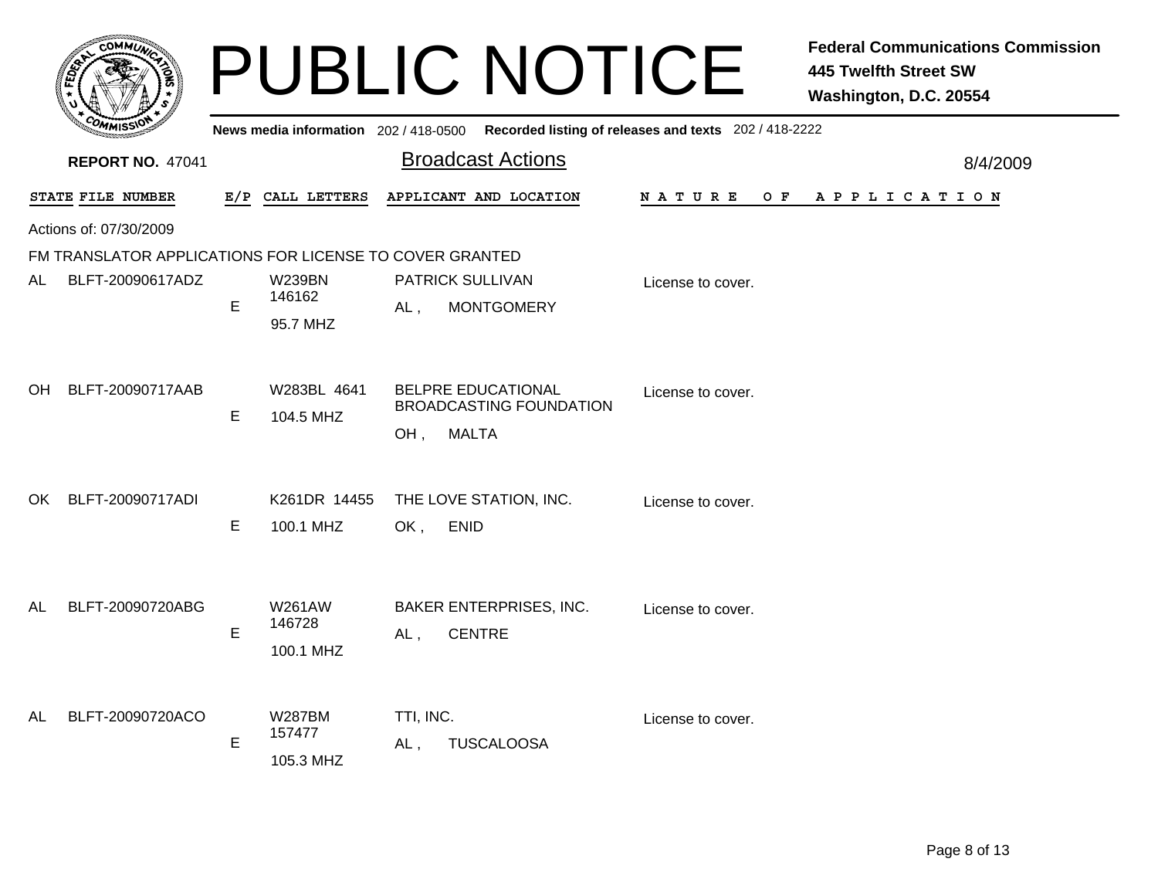|    |                                                         |   |                                      | <b>PUBLIC NOTICE</b>                                                               |                    | <b>Federal Communications Commission</b><br><b>445 Twelfth Street SW</b><br>Washington, D.C. 20554 |
|----|---------------------------------------------------------|---|--------------------------------------|------------------------------------------------------------------------------------|--------------------|----------------------------------------------------------------------------------------------------|
|    |                                                         |   | News media information 202/418-0500  | Recorded listing of releases and texts 202 / 418-2222                              |                    |                                                                                                    |
|    | <b>REPORT NO. 47041</b>                                 |   |                                      | <b>Broadcast Actions</b>                                                           |                    | 8/4/2009                                                                                           |
|    | STATE FILE NUMBER                                       |   | E/P CALL LETTERS                     | APPLICANT AND LOCATION                                                             | N A T U R E<br>O F | A P P L I C A T I O N                                                                              |
|    | Actions of: 07/30/2009                                  |   |                                      |                                                                                    |                    |                                                                                                    |
|    | FM TRANSLATOR APPLICATIONS FOR LICENSE TO COVER GRANTED |   |                                      |                                                                                    |                    |                                                                                                    |
| AL | BLFT-20090617ADZ                                        | E | <b>W239BN</b><br>146162<br>95.7 MHZ  | PATRICK SULLIVAN<br>$AL$ ,<br><b>MONTGOMERY</b>                                    | License to cover.  |                                                                                                    |
| OH | BLFT-20090717AAB                                        | E | W283BL 4641<br>104.5 MHZ             | <b>BELPRE EDUCATIONAL</b><br><b>BROADCASTING FOUNDATION</b><br><b>MALTA</b><br>OH, | License to cover.  |                                                                                                    |
| OK | BLFT-20090717ADI                                        | E | K261DR 14455<br>100.1 MHZ            | THE LOVE STATION, INC.<br>OK,<br><b>ENID</b>                                       | License to cover.  |                                                                                                    |
| AL | BLFT-20090720ABG                                        | E | W261AW<br>146728<br>100.1 MHZ        | <b>BAKER ENTERPRISES, INC.</b><br><b>CENTRE</b><br>AL,                             | License to cover.  |                                                                                                    |
| AL | BLFT-20090720ACO                                        | E | <b>W287BM</b><br>157477<br>105.3 MHZ | TTI, INC.<br><b>TUSCALOOSA</b><br>AL,                                              | License to cover.  |                                                                                                    |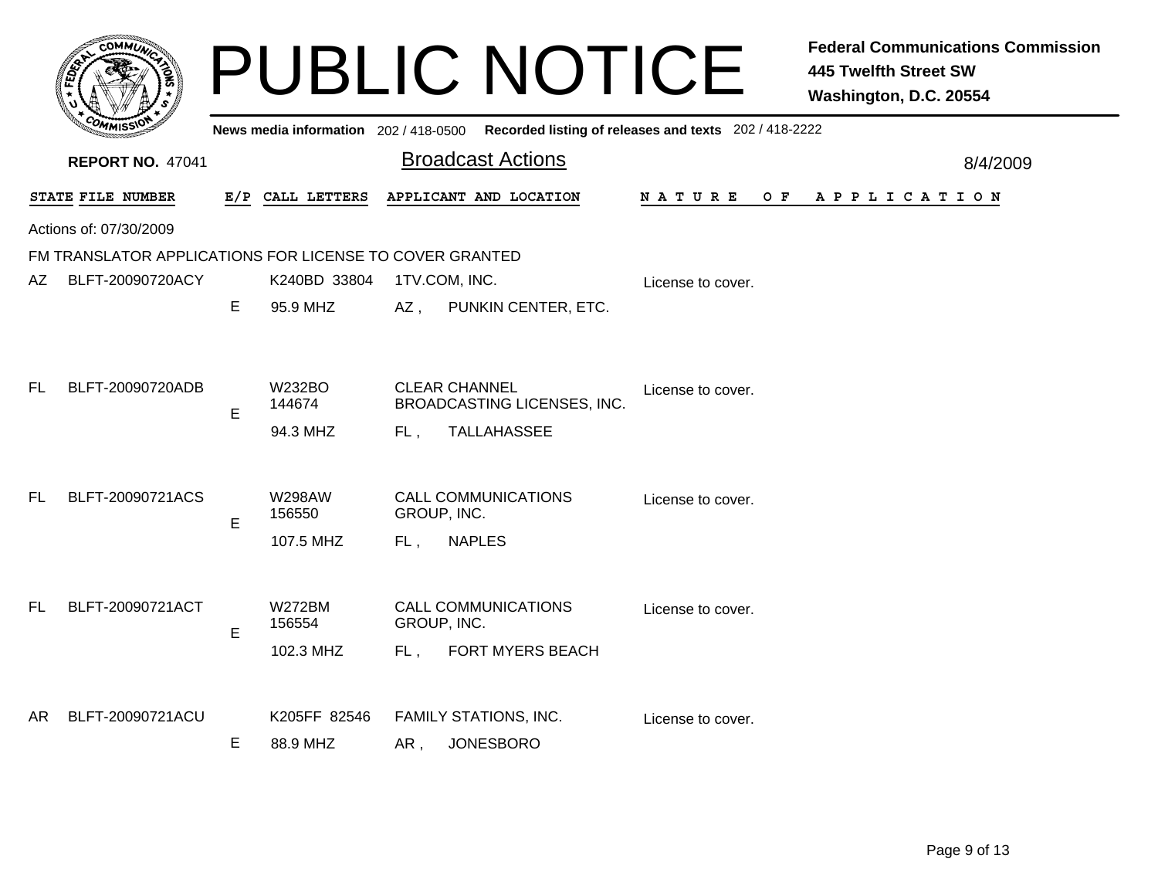|           |                                                         |   |                         |        | <b>PUBLIC NOTICE</b>                                                                    |                    | <b>Federal Communications Commission</b><br><b>445 Twelfth Street SW</b><br>Washington, D.C. 20554 |
|-----------|---------------------------------------------------------|---|-------------------------|--------|-----------------------------------------------------------------------------------------|--------------------|----------------------------------------------------------------------------------------------------|
|           |                                                         |   |                         |        | News media information 202/418-0500 Recorded listing of releases and texts 202/418-2222 |                    |                                                                                                    |
|           | <b>REPORT NO. 47041</b>                                 |   |                         |        | <b>Broadcast Actions</b>                                                                |                    | 8/4/2009                                                                                           |
|           | STATE FILE NUMBER                                       |   | E/P CALL LETTERS        |        | APPLICANT AND LOCATION                                                                  | N A T U R E<br>O F | A P P L I C A T I O N                                                                              |
|           | Actions of: 07/30/2009                                  |   |                         |        |                                                                                         |                    |                                                                                                    |
|           | FM TRANSLATOR APPLICATIONS FOR LICENSE TO COVER GRANTED |   |                         |        |                                                                                         |                    |                                                                                                    |
| AZ        | BLFT-20090720ACY                                        |   | K240BD 33804            |        | 1TV.COM, INC.                                                                           | License to cover.  |                                                                                                    |
|           |                                                         | E | 95.9 MHZ                | $AZ$ , | PUNKIN CENTER, ETC.                                                                     |                    |                                                                                                    |
|           |                                                         |   |                         |        |                                                                                         |                    |                                                                                                    |
| <b>FL</b> | BLFT-20090720ADB                                        | E | <b>W232BO</b><br>144674 |        | <b>CLEAR CHANNEL</b><br><b>BROADCASTING LICENSES, INC.</b>                              | License to cover.  |                                                                                                    |
|           |                                                         |   | 94.3 MHZ                | FL.    | TALLAHASSEE                                                                             |                    |                                                                                                    |
|           |                                                         |   |                         |        |                                                                                         |                    |                                                                                                    |
| <b>FL</b> | BLFT-20090721ACS                                        | E | <b>W298AW</b><br>156550 |        | <b>CALL COMMUNICATIONS</b><br>GROUP, INC.                                               | License to cover.  |                                                                                                    |
|           |                                                         |   | 107.5 MHZ               | FL,    | <b>NAPLES</b>                                                                           |                    |                                                                                                    |
| <b>FL</b> | BLFT-20090721ACT                                        |   | <b>W272BM</b>           |        | <b>CALL COMMUNICATIONS</b>                                                              |                    |                                                                                                    |
|           |                                                         | E | 156554                  |        | GROUP, INC.                                                                             | License to cover.  |                                                                                                    |
|           |                                                         |   | 102.3 MHZ               | FL,    | FORT MYERS BEACH                                                                        |                    |                                                                                                    |
| AR.       | BLFT-20090721ACU                                        |   | K205FF 82546            |        | FAMILY STATIONS, INC.                                                                   |                    |                                                                                                    |
|           |                                                         |   | 88.9 MHZ                |        | <b>JONESBORO</b>                                                                        | License to cover.  |                                                                                                    |
|           |                                                         | Е |                         | AR,    |                                                                                         |                    |                                                                                                    |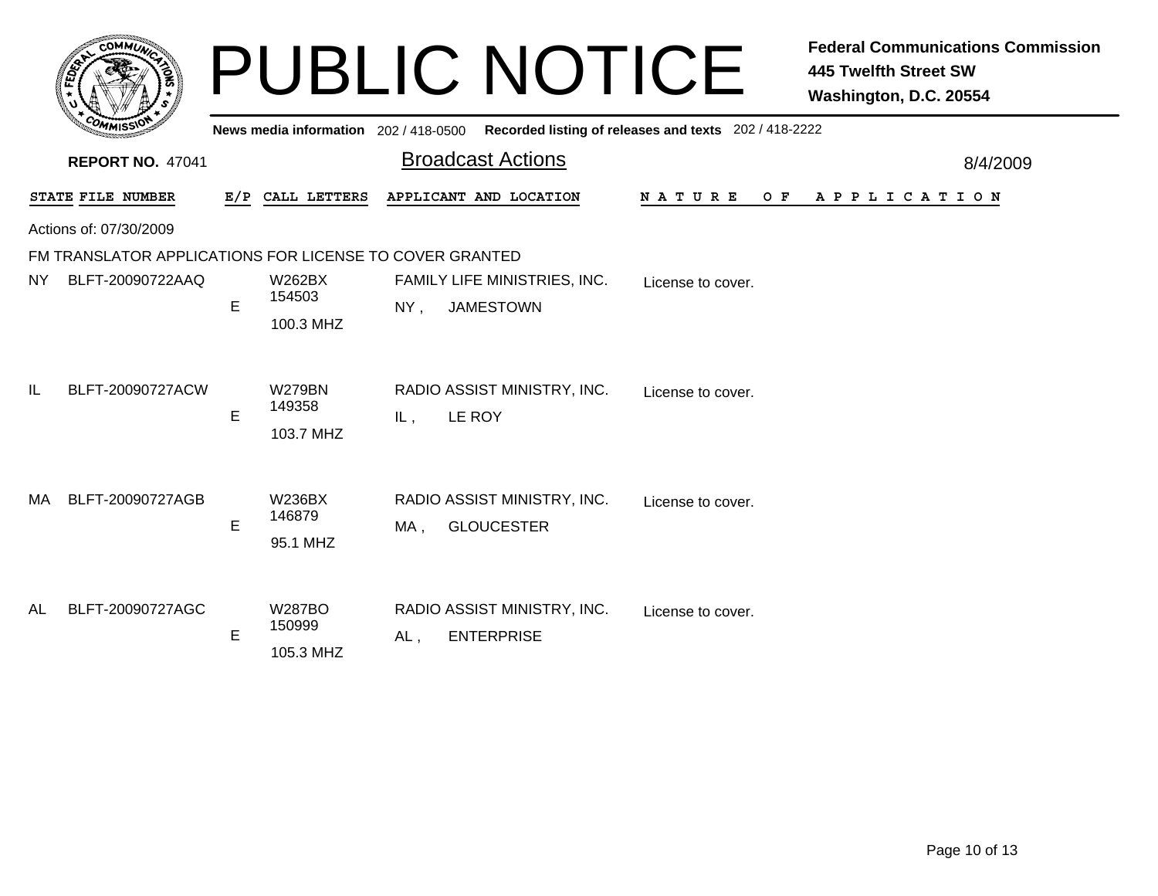|     | <b>COMMUT</b>                                                               |   |                                       | <b>PUBLIC NOTICE</b>                                    |                                                       | <b>Federal Communications Commission</b><br><b>445 Twelfth Street SW</b><br>Washington, D.C. 20554 |
|-----|-----------------------------------------------------------------------------|---|---------------------------------------|---------------------------------------------------------|-------------------------------------------------------|----------------------------------------------------------------------------------------------------|
|     |                                                                             |   | News media information 202 / 418-0500 |                                                         | Recorded listing of releases and texts 202 / 418-2222 |                                                                                                    |
|     | <b>REPORT NO. 47041</b>                                                     |   |                                       | <b>Broadcast Actions</b>                                |                                                       | 8/4/2009                                                                                           |
|     | STATE FILE NUMBER                                                           |   | E/P CALL LETTERS                      | APPLICANT AND LOCATION                                  | N A T U R E<br>O F                                    | A P P L I C A T I O N                                                                              |
|     | Actions of: 07/30/2009                                                      |   |                                       |                                                         |                                                       |                                                                                                    |
| NY. | FM TRANSLATOR APPLICATIONS FOR LICENSE TO COVER GRANTED<br>BLFT-20090722AAQ | E | W262BX<br>154503<br>100.3 MHZ         | FAMILY LIFE MINISTRIES, INC.<br><b>JAMESTOWN</b><br>NY. | License to cover.                                     |                                                                                                    |
| IL  | BLFT-20090727ACW                                                            | E | <b>W279BN</b><br>149358<br>103.7 MHZ  | RADIO ASSIST MINISTRY, INC.<br>LE ROY<br>IL,            | License to cover.                                     |                                                                                                    |
| MA  | BLFT-20090727AGB                                                            | E | <b>W236BX</b><br>146879<br>95.1 MHZ   | RADIO ASSIST MINISTRY, INC.<br><b>GLOUCESTER</b><br>MA, | License to cover.                                     |                                                                                                    |
| AL  | BLFT-20090727AGC                                                            | E | <b>W287BO</b><br>150999<br>105.3 MHZ  | RADIO ASSIST MINISTRY, INC.<br><b>ENTERPRISE</b><br>AL, | License to cover.                                     |                                                                                                    |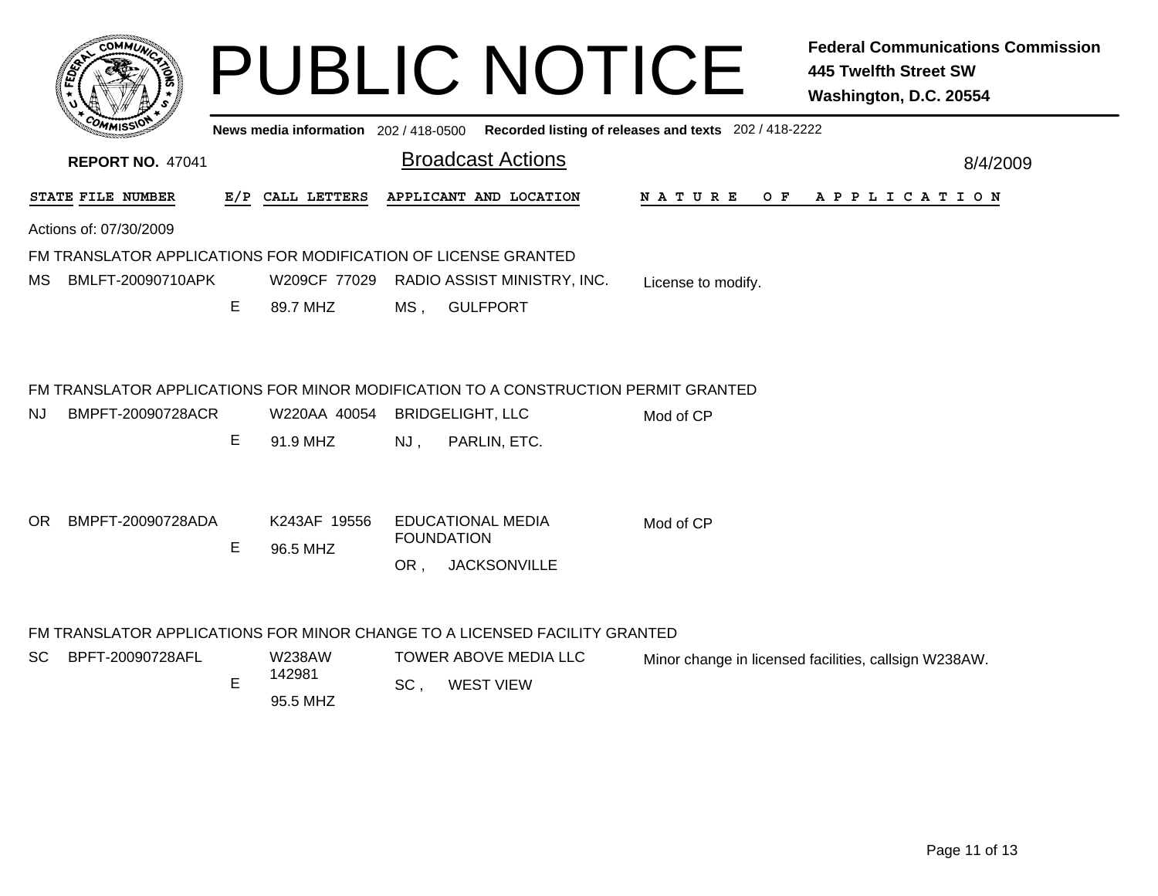| $c$ OMM $\vec{u}$                                                                                             |   |                                       |                       | <b>PUBLIC NOTICE</b>                                                 |                                                       | <b>Federal Communications Commission</b><br><b>445 Twelfth Street SW</b><br>Washington, D.C. 20554 |
|---------------------------------------------------------------------------------------------------------------|---|---------------------------------------|-----------------------|----------------------------------------------------------------------|-------------------------------------------------------|----------------------------------------------------------------------------------------------------|
|                                                                                                               |   | News media information 202 / 418-0500 |                       |                                                                      | Recorded listing of releases and texts 202 / 418-2222 |                                                                                                    |
| <b>REPORT NO. 47041</b>                                                                                       |   |                                       |                       | <b>Broadcast Actions</b>                                             |                                                       | 8/4/2009                                                                                           |
| STATE FILE NUMBER                                                                                             |   | E/P CALL LETTERS                      |                       | APPLICANT AND LOCATION                                               | O F<br>N A T U R E                                    | A P P L I C A T I O N                                                                              |
| Actions of: 07/30/2009                                                                                        |   |                                       |                       |                                                                      |                                                       |                                                                                                    |
| FM TRANSLATOR APPLICATIONS FOR MODIFICATION OF LICENSE GRANTED                                                |   |                                       |                       |                                                                      |                                                       |                                                                                                    |
| BMLFT-20090710APK<br>МS                                                                                       |   | W209CF 77029                          |                       | RADIO ASSIST MINISTRY, INC.                                          | License to modify.                                    |                                                                                                    |
|                                                                                                               | E | 89.7 MHZ                              | MS,                   | <b>GULFPORT</b>                                                      |                                                       |                                                                                                    |
| FM TRANSLATOR APPLICATIONS FOR MINOR MODIFICATION TO A CONSTRUCTION PERMIT GRANTED<br>BMPFT-20090728ACR<br>NJ | Е | W220AA 40054<br>91.9 MHZ              | NJ.                   | <b>BRIDGELIGHT, LLC</b><br>PARLIN, ETC.                              | Mod of CP                                             |                                                                                                    |
| BMPFT-20090728ADA<br>OR.                                                                                      | Е | K243AF 19556<br>96.5 MHZ              | OR.                   | <b>EDUCATIONAL MEDIA</b><br><b>FOUNDATION</b><br><b>JACKSONVILLE</b> | Mod of CP                                             |                                                                                                    |
| FM TRANSLATOR APPLICATIONS FOR MINOR CHANGE TO A LICENSED FACILITY GRANTED                                    |   |                                       |                       |                                                                      |                                                       |                                                                                                    |
| BPFT-20090728AFL<br>SC.                                                                                       |   | <b>W238AW</b>                         | TOWER ABOVE MEDIA LLC |                                                                      |                                                       | Minor change in licensed facilities, callsign W238AW.                                              |
|                                                                                                               | E | 142981<br>95.5 MHZ                    | SC <sub>1</sub>       | <b>WEST VIEW</b>                                                     |                                                       |                                                                                                    |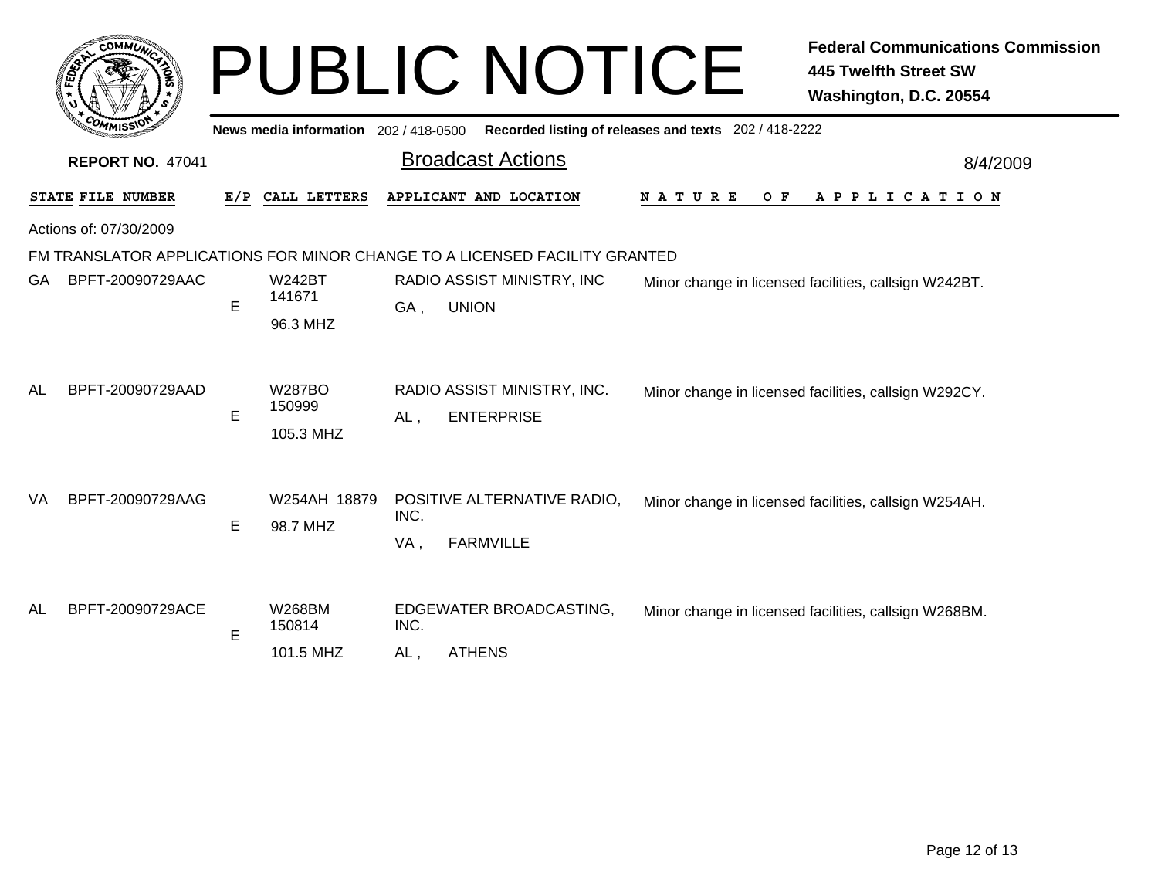|           | <b>COMMUT</b>           | <b>PUBLIC NOTICE</b> |                                       |                                                       |                                                                                                                          |                      | <b>Federal Communications Commission</b><br><b>445 Twelfth Street SW</b><br>Washington, D.C. 20554 |  |  |
|-----------|-------------------------|----------------------|---------------------------------------|-------------------------------------------------------|--------------------------------------------------------------------------------------------------------------------------|----------------------|----------------------------------------------------------------------------------------------------|--|--|
|           |                         |                      | News media information 202 / 418-0500 | Recorded listing of releases and texts 202 / 418-2222 |                                                                                                                          |                      |                                                                                                    |  |  |
|           | <b>REPORT NO. 47041</b> |                      |                                       | <b>Broadcast Actions</b>                              |                                                                                                                          | 8/4/2009             |                                                                                                    |  |  |
|           | STATE FILE NUMBER       | E/P                  | CALL LETTERS                          |                                                       | APPLICANT AND LOCATION                                                                                                   | <b>NATURE</b><br>O F | A P P L I C A T I O N                                                                              |  |  |
|           | Actions of: 07/30/2009  |                      |                                       |                                                       |                                                                                                                          |                      |                                                                                                    |  |  |
| GA.       | BPFT-20090729AAC        | E                    | <b>W242BT</b><br>141671<br>96.3 MHZ   | GA,                                                   | FM TRANSLATOR APPLICATIONS FOR MINOR CHANGE TO A LICENSED FACILITY GRANTED<br>RADIO ASSIST MINISTRY, INC<br><b>UNION</b> |                      | Minor change in licensed facilities, callsign W242BT.                                              |  |  |
| <b>AL</b> | BPFT-20090729AAD        | E                    | <b>W287BO</b><br>150999<br>105.3 MHZ  | $AL$ ,                                                | RADIO ASSIST MINISTRY, INC.<br><b>ENTERPRISE</b>                                                                         |                      | Minor change in licensed facilities, callsign W292CY.                                              |  |  |
| VA        | BPFT-20090729AAG        | E                    | W254AH 18879<br>98.7 MHZ              | INC.<br>VA,                                           | POSITIVE ALTERNATIVE RADIO,<br><b>FARMVILLE</b>                                                                          |                      | Minor change in licensed facilities, callsign W254AH.                                              |  |  |
| AL        | BPFT-20090729ACE        | E                    | <b>W268BM</b><br>150814<br>101.5 MHZ  | INC.<br>AL,                                           | EDGEWATER BROADCASTING,<br><b>ATHENS</b>                                                                                 |                      | Minor change in licensed facilities, callsign W268BM.                                              |  |  |